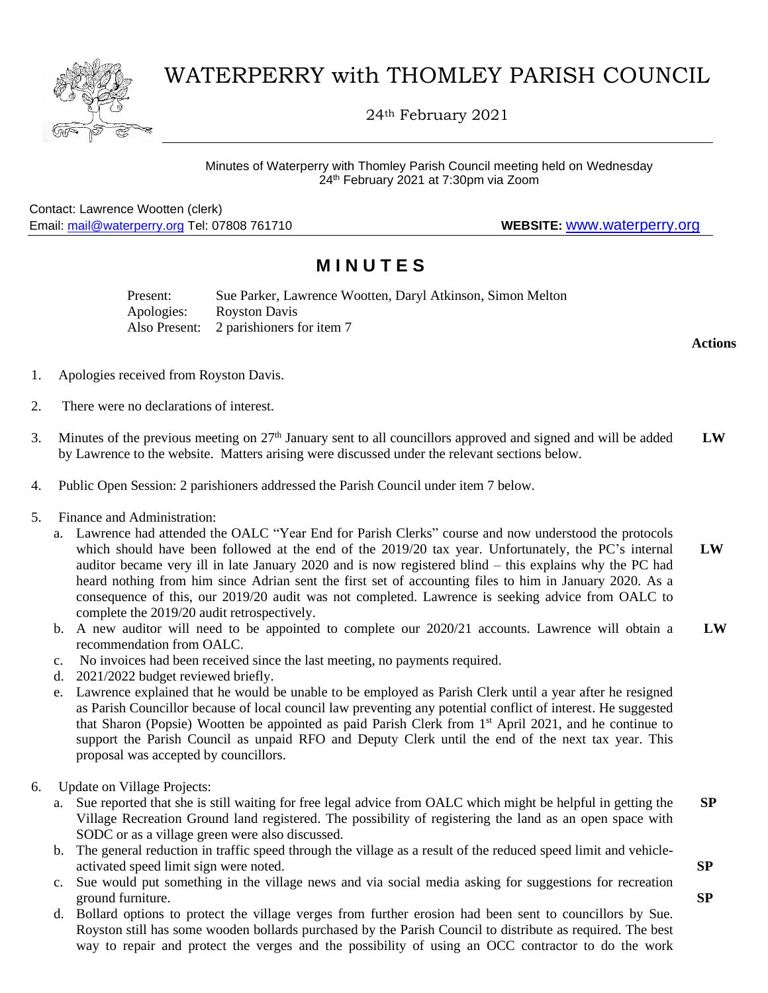

# WATERPERRY with THOMLEY PARISH COUNCIL

24th February 2021

Contact: Lawrence Wootten (clerk) Email: [mail@waterperry.org](mailto:mail@waterperry.org) Tel: 07808 761710 **WEBSITE:** [www.waterperry.org](http://www.waterperry.org/)

## **M I N U T E S**

Present: Sue Parker, Lawrence Wootten, Daryl Atkinson, Simon Melton Apologies: Royston Davis Also Present: 2 parishioners for item 7

**Actions**

- 1. Apologies received from Royston Davis.
- 2. There were no declarations of interest.
- 3. Minutes of the previous meeting on  $27<sup>th</sup>$  January sent to all councillors approved and signed and will be added by Lawrence to the website. Matters arising were discussed under the relevant sections below. **LW**
- 4. Public Open Session: 2 parishioners addressed the Parish Council under item 7 below.
- 5. Finance and Administration:
	- a. Lawrence had attended the OALC "Year End for Parish Clerks" course and now understood the protocols which should have been followed at the end of the 2019/20 tax year. Unfortunately, the PC's internal auditor became very ill in late January 2020 and is now registered blind – this explains why the PC had heard nothing from him since Adrian sent the first set of accounting files to him in January 2020. As a consequence of this, our 2019/20 audit was not completed. Lawrence is seeking advice from OALC to complete the 2019/20 audit retrospectively.  **LW**
	- b. A new auditor will need to be appointed to complete our 2020/21 accounts. Lawrence will obtain a recommendation from OALC.  **LW**
	- c. No invoices had been received since the last meeting, no payments required.
	- d. 2021/2022 budget reviewed briefly.
	- e. Lawrence explained that he would be unable to be employed as Parish Clerk until a year after he resigned as Parish Councillor because of local council law preventing any potential conflict of interest. He suggested that Sharon (Popsie) Wootten be appointed as paid Parish Clerk from 1<sup>st</sup> April 2021, and he continue to support the Parish Council as unpaid RFO and Deputy Clerk until the end of the next tax year. This proposal was accepted by councillors.
- 6. Update on Village Projects:
	- a. Sue reported that she is still waiting for free legal advice from OALC which might be helpful in getting the Village Recreation Ground land registered. The possibility of registering the land as an open space with SODC or as a village green were also discussed.  **SP**
	- b. The general reduction in traffic speed through the village as a result of the reduced speed limit and vehicleactivated speed limit sign were noted.
	- c. Sue would put something in the village news and via social media asking for suggestions for recreation ground furniture.
	- d. Bollard options to protect the village verges from further erosion had been sent to councillors by Sue. Royston still has some wooden bollards purchased by the Parish Council to distribute as required. The best way to repair and protect the verges and the possibility of using an OCC contractor to do the work

 **SP**

**SP**